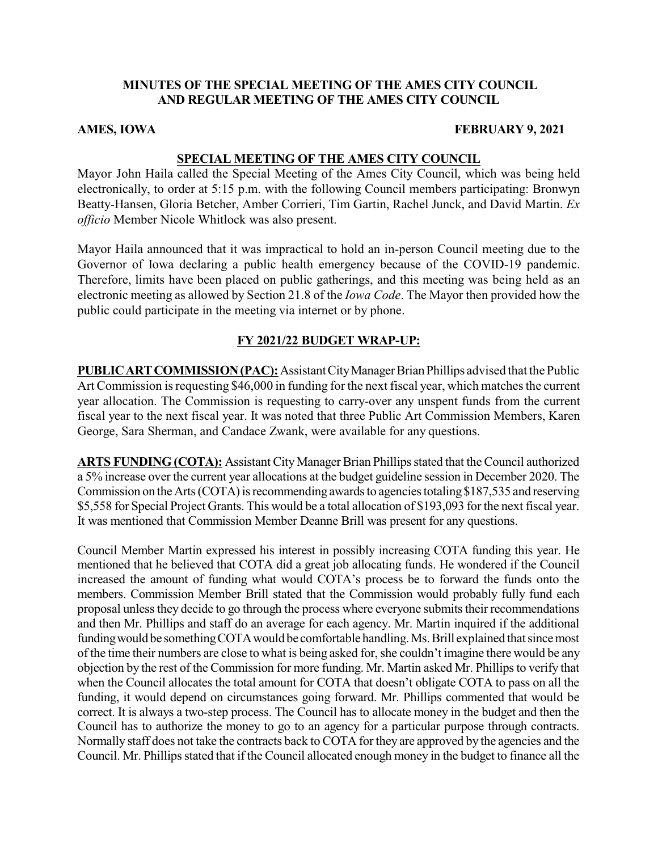# **MINUTES OF THE SPECIAL MEETING OF THE AMES CITY COUNCIL AND REGULAR MEETING OF THE AMES CITY COUNCIL**

#### **AMES, IOWA FEBRUARY 9, 2021**

#### **SPECIAL MEETING OF THE AMES CITY COUNCIL**

Mayor John Haila called the Special Meeting of the Ames City Council, which was being held electronically, to order at 5:15 p.m. with the following Council members participating: Bronwyn Beatty-Hansen, Gloria Betcher, Amber Corrieri, Tim Gartin, Rachel Junck, and David Martin. *Ex officio* Member Nicole Whitlock was also present.

Mayor Haila announced that it was impractical to hold an in-person Council meeting due to the Governor of Iowa declaring a public health emergency because of the COVID-19 pandemic. Therefore, limits have been placed on public gatherings, and this meeting was being held as an electronic meeting as allowed by Section 21.8 of the *Iowa Code*. The Mayor then provided how the public could participate in the meeting via internet or by phone.

# **FY 2021/22 BUDGET WRAP-UP:**

**PUBLICARTCOMMISSION(PAC):**AssistantCityManagerBrianPhillips advised that the Public Art Commission is requesting \$46,000 in funding for the next fiscal year, which matches the current year allocation. The Commission is requesting to carry-over any unspent funds from the current fiscal year to the next fiscal year. It was noted that three Public Art Commission Members, Karen George, Sara Sherman, and Candace Zwank, were available for any questions.

ARTS FUNDING (COTA): Assistant City Manager Brian Phillips stated that the Council authorized a 5% increase over the current year allocations at the budget guideline session in December 2020. The Commission on the Arts (COTA) is recommending awards to agencies totaling \$187,535 and reserving \$5,558 for Special Project Grants. This would be a total allocation of \$193,093 for the next fiscal year. It was mentioned that Commission Member Deanne Brill was present for any questions.

Council Member Martin expressed his interest in possibly increasing COTA funding this year. He mentioned that he believed that COTA did a great job allocating funds. He wondered if the Council increased the amount of funding what would COTA's process be to forward the funds onto the members. Commission Member Brill stated that the Commission would probably fully fund each proposal unless they decide to go through the process where everyone submits their recommendations and then Mr. Phillips and staff do an average for each agency. Mr. Martin inquired if the additional funding would be something COTA would be comfortable handling. Ms. Brill explained that since most of the time their numbers are close to what is being asked for, she couldn't imagine there would be any objection by the rest of the Commission for more funding. Mr. Martin asked Mr. Phillips to verify that when the Council allocates the total amount for COTA that doesn't obligate COTA to pass on all the funding, it would depend on circumstances going forward. Mr. Phillips commented that would be correct. It is always a two-step process. The Council has to allocate money in the budget and then the Council has to authorize the money to go to an agency for a particular purpose through contracts. Normally staff does not take the contracts back to COTA for they are approved by the agencies and the Council. Mr. Phillips stated that if the Council allocated enough money in the budget to finance all the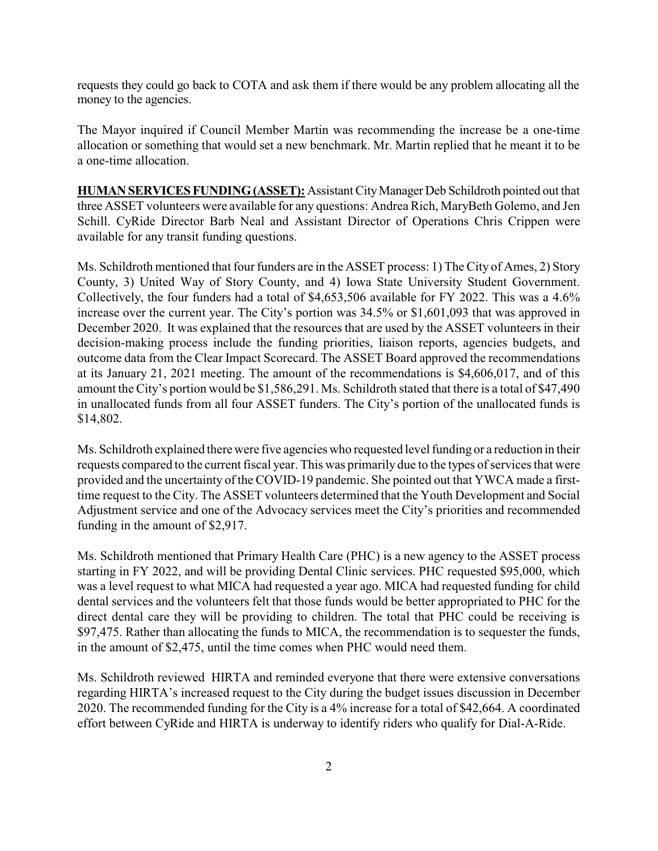requests they could go back to COTA and ask them if there would be any problem allocating all the money to the agencies.

The Mayor inquired if Council Member Martin was recommending the increase be a one-time allocation or something that would set a new benchmark. Mr. Martin replied that he meant it to be a one-time allocation.

**HUMANSERVICESFUNDING(ASSET):** AssistantCityManager Deb Schildroth pointed out that three ASSET volunteers were available for any questions: Andrea Rich, MaryBeth Golemo, and Jen Schill. CyRide Director Barb Neal and Assistant Director of Operations Chris Crippen were available for any transit funding questions.

Ms. Schildroth mentioned that four funders are in the ASSET process: 1) The City of Ames, 2) Story County, 3) United Way of Story County, and 4) Iowa State University Student Government. Collectively, the four funders had a total of \$4,653,506 available for FY 2022. This was a 4.6% increase over the current year. The City's portion was 34.5% or \$1,601,093 that was approved in December 2020. It was explained that the resources that are used by the ASSET volunteers in their decision-making process include the funding priorities, liaison reports, agencies budgets, and outcome data from the Clear Impact Scorecard. The ASSET Board approved the recommendations at its January 21, 2021 meeting. The amount of the recommendations is \$4,606,017, and of this amount the City's portion would be \$1,586,291. Ms. Schildroth stated that there is a total of \$47,490 in unallocated funds from all four ASSET funders. The City's portion of the unallocated funds is \$14,802.

Ms. Schildroth explained there were five agencies who requested level funding or a reduction in their requests compared to the current fiscal year. This was primarily due to the types of services that were provided and the uncertainty of the COVID-19 pandemic. She pointed out that YWCA made a firsttime request to the City. The ASSET volunteers determined that the Youth Development and Social Adjustment service and one of the Advocacy services meet the City's priorities and recommended funding in the amount of \$2,917.

Ms. Schildroth mentioned that Primary Health Care (PHC) is a new agency to the ASSET process starting in FY 2022, and will be providing Dental Clinic services. PHC requested \$95,000, which was a level request to what MICA had requested a year ago. MICA had requested funding for child dental services and the volunteers felt that those funds would be better appropriated to PHC for the direct dental care they will be providing to children. The total that PHC could be receiving is \$97,475. Rather than allocating the funds to MICA, the recommendation is to sequester the funds, in the amount of \$2,475, until the time comes when PHC would need them.

Ms. Schildroth reviewed HIRTA and reminded everyone that there were extensive conversations regarding HIRTA's increased request to the City during the budget issues discussion in December 2020. The recommended funding for the City is a 4% increase for a total of \$42,664. A coordinated effort between CyRide and HIRTA is underway to identify riders who qualify for Dial-A-Ride.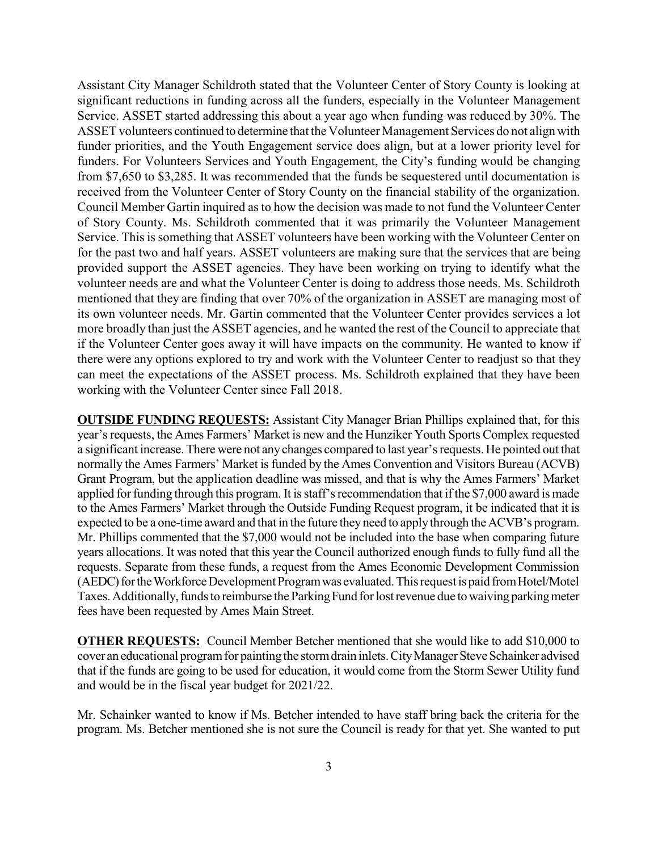Assistant City Manager Schildroth stated that the Volunteer Center of Story County is looking at significant reductions in funding across all the funders, especially in the Volunteer Management Service. ASSET started addressing this about a year ago when funding was reduced by 30%. The ASSET volunteers continued to determine that the Volunteer Management Services do not align with funder priorities, and the Youth Engagement service does align, but at a lower priority level for funders. For Volunteers Services and Youth Engagement, the City's funding would be changing from \$7,650 to \$3,285. It was recommended that the funds be sequestered until documentation is received from the Volunteer Center of Story County on the financial stability of the organization. Council Member Gartin inquired as to how the decision was made to not fund the Volunteer Center of Story County. Ms. Schildroth commented that it was primarily the Volunteer Management Service. This is something that ASSET volunteers have been working with the Volunteer Center on for the past two and half years. ASSET volunteers are making sure that the services that are being provided support the ASSET agencies. They have been working on trying to identify what the volunteer needs are and what the Volunteer Center is doing to address those needs. Ms. Schildroth mentioned that they are finding that over 70% of the organization in ASSET are managing most of its own volunteer needs. Mr. Gartin commented that the Volunteer Center provides services a lot more broadly than just the ASSET agencies, and he wanted the rest of the Council to appreciate that if the Volunteer Center goes away it will have impacts on the community. He wanted to know if there were any options explored to try and work with the Volunteer Center to readjust so that they can meet the expectations of the ASSET process. Ms. Schildroth explained that they have been working with the Volunteer Center since Fall 2018.

**OUTSIDE FUNDING REQUESTS:** Assistant City Manager Brian Phillips explained that, for this year's requests, the Ames Farmers' Market is new and the Hunziker Youth Sports Complex requested a significant increase. There were not anychanges compared to last year'srequests. He pointed out that normally the Ames Farmers' Market is funded by the Ames Convention and Visitors Bureau (ACVB) Grant Program, but the application deadline was missed, and that is why the Ames Farmers' Market applied for funding through this program. It is staff's recommendation that if the \$7,000 award is made to the Ames Farmers' Market through the Outside Funding Request program, it be indicated that it is expected to be a one-time award and that in the future theyneed to applythrough the ACVB's program. Mr. Phillips commented that the \$7,000 would not be included into the base when comparing future years allocations. It was noted that this year the Council authorized enough funds to fully fund all the requests. Separate from these funds, a request from the Ames Economic Development Commission (AEDC) for the Workforce Development Program was evaluated. This request is paid from Hotel/Motel Taxes. Additionally, funds to reimburse the Parking Fund for lost revenue due to waiving parking meter fees have been requested by Ames Main Street.

**OTHER REQUESTS:** Council Member Betcher mentioned that she would like to add \$10,000 to cover an educational program for painting the storm drain inlets. City Manager Steve Schainker advised that if the funds are going to be used for education, it would come from the Storm Sewer Utility fund and would be in the fiscal year budget for 2021/22.

Mr. Schainker wanted to know if Ms. Betcher intended to have staff bring back the criteria for the program. Ms. Betcher mentioned she is not sure the Council is ready for that yet. She wanted to put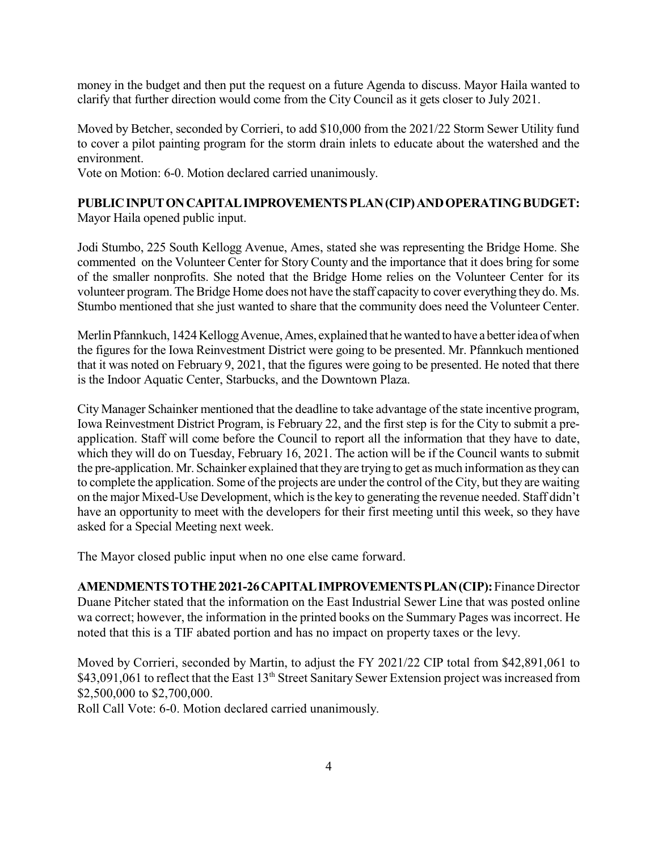money in the budget and then put the request on a future Agenda to discuss. Mayor Haila wanted to clarify that further direction would come from the City Council as it gets closer to July 2021.

Moved by Betcher, seconded by Corrieri, to add \$10,000 from the 2021/22 Storm Sewer Utility fund to cover a pilot painting program for the storm drain inlets to educate about the watershed and the environment.

Vote on Motion: 6-0. Motion declared carried unanimously.

#### **PUBLICINPUTONCAPITALIMPROVEMENTSPLAN(CIP)ANDOPERATINGBUDGET:** Mayor Haila opened public input.

Jodi Stumbo, 225 South Kellogg Avenue, Ames, stated she was representing the Bridge Home. She commented on the Volunteer Center for Story County and the importance that it does bring for some of the smaller nonprofits. She noted that the Bridge Home relies on the Volunteer Center for its volunteer program. The Bridge Home does not have the staff capacity to cover everything they do. Ms. Stumbo mentioned that she just wanted to share that the community does need the Volunteer Center.

Merlin Pfannkuch, 1424 Kellogg Avenue, Ames, explained that he wanted to have a better idea of when the figures for the Iowa Reinvestment District were going to be presented. Mr. Pfannkuch mentioned that it was noted on February 9, 2021, that the figures were going to be presented. He noted that there is the Indoor Aquatic Center, Starbucks, and the Downtown Plaza.

City Manager Schainker mentioned that the deadline to take advantage of the state incentive program, Iowa Reinvestment District Program, is February 22, and the first step is for the City to submit a preapplication. Staff will come before the Council to report all the information that they have to date, which they will do on Tuesday, February 16, 2021. The action will be if the Council wants to submit the pre-application. Mr. Schainker explained that they are trying to get as much information as they can to complete the application. Some of the projects are under the control of the City, but they are waiting on the major Mixed-Use Development, which is the key to generating the revenue needed. Staff didn't have an opportunity to meet with the developers for their first meeting until this week, so they have asked for a Special Meeting next week.

The Mayor closed public input when no one else came forward.

**AMENDMENTSTOTHE2021-26CAPITALIMPROVEMENTSPLAN(CIP):**Finance Director Duane Pitcher stated that the information on the East Industrial Sewer Line that was posted online wa correct; however, the information in the printed books on the Summary Pages was incorrect. He noted that this is a TIF abated portion and has no impact on property taxes or the levy.

Moved by Corrieri, seconded by Martin, to adjust the FY 2021/22 CIP total from \$42,891,061 to \$43,091,061 to reflect that the East 13<sup>th</sup> Street Sanitary Sewer Extension project was increased from \$2,500,000 to \$2,700,000.

Roll Call Vote: 6-0. Motion declared carried unanimously.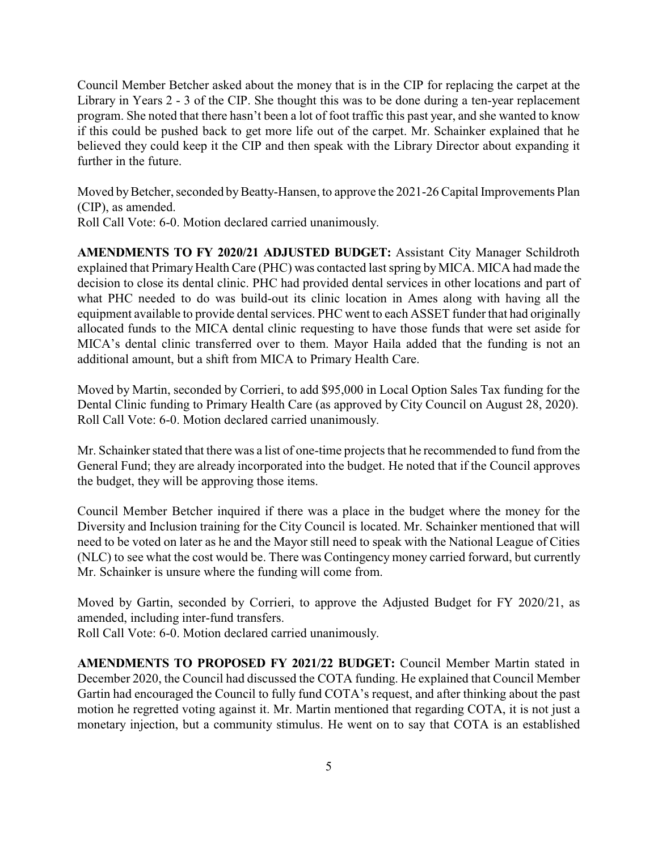Council Member Betcher asked about the money that is in the CIP for replacing the carpet at the Library in Years 2 - 3 of the CIP. She thought this was to be done during a ten-year replacement program. She noted that there hasn't been a lot of foot traffic this past year, and she wanted to know if this could be pushed back to get more life out of the carpet. Mr. Schainker explained that he believed they could keep it the CIP and then speak with the Library Director about expanding it further in the future.

Moved by Betcher, seconded by Beatty-Hansen, to approve the 2021-26 Capital Improvements Plan (CIP), as amended.

Roll Call Vote: 6-0. Motion declared carried unanimously.

**AMENDMENTS TO FY 2020/21 ADJUSTED BUDGET:** Assistant City Manager Schildroth explained that Primary Health Care (PHC) was contacted last spring by MICA. MICA had made the decision to close its dental clinic. PHC had provided dental services in other locations and part of what PHC needed to do was build-out its clinic location in Ames along with having all the equipment available to provide dental services. PHC went to each ASSET funder that had originally allocated funds to the MICA dental clinic requesting to have those funds that were set aside for MICA's dental clinic transferred over to them. Mayor Haila added that the funding is not an additional amount, but a shift from MICA to Primary Health Care.

Moved by Martin, seconded by Corrieri, to add \$95,000 in Local Option Sales Tax funding for the Dental Clinic funding to Primary Health Care (as approved by City Council on August 28, 2020). Roll Call Vote: 6-0. Motion declared carried unanimously.

Mr. Schainker stated that there was a list of one-time projects that he recommended to fund from the General Fund; they are already incorporated into the budget. He noted that if the Council approves the budget, they will be approving those items.

Council Member Betcher inquired if there was a place in the budget where the money for the Diversity and Inclusion training for the City Council is located. Mr. Schainker mentioned that will need to be voted on later as he and the Mayor still need to speak with the National League of Cities (NLC) to see what the cost would be. There was Contingency money carried forward, but currently Mr. Schainker is unsure where the funding will come from.

Moved by Gartin, seconded by Corrieri, to approve the Adjusted Budget for FY 2020/21, as amended, including inter-fund transfers.

Roll Call Vote: 6-0. Motion declared carried unanimously.

**AMENDMENTS TO PROPOSED FY 2021/22 BUDGET:** Council Member Martin stated in December 2020, the Council had discussed the COTA funding. He explained that Council Member Gartin had encouraged the Council to fully fund COTA's request, and after thinking about the past motion he regretted voting against it. Mr. Martin mentioned that regarding COTA, it is not just a monetary injection, but a community stimulus. He went on to say that COTA is an established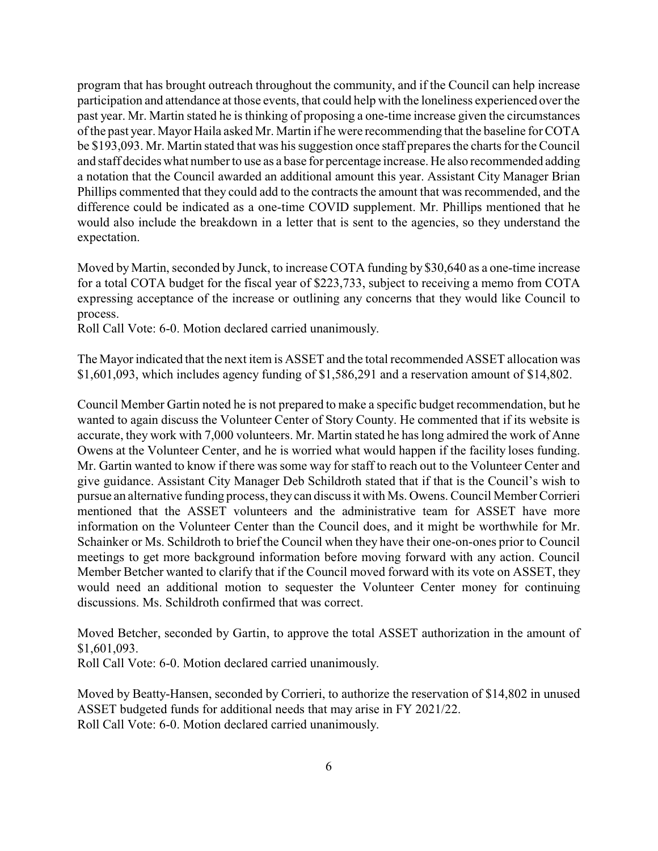program that has brought outreach throughout the community, and if the Council can help increase participation and attendance at those events, that could help with the loneliness experienced over the past year. Mr. Martin stated he is thinking of proposing a one-time increase given the circumstances of the past year. Mayor Haila asked Mr. Martin if he were recommending that the baseline for COTA be \$193,093. Mr. Martin stated that was his suggestion once staff prepares the charts for the Council and staff decides what number to use as a base for percentage increase. He also recommended adding a notation that the Council awarded an additional amount this year. Assistant City Manager Brian Phillips commented that they could add to the contracts the amount that was recommended, and the difference could be indicated as a one-time COVID supplement. Mr. Phillips mentioned that he would also include the breakdown in a letter that is sent to the agencies, so they understand the expectation.

Moved by Martin, seconded by Junck, to increase COTA funding by \$30,640 as a one-time increase for a total COTA budget for the fiscal year of \$223,733, subject to receiving a memo from COTA expressing acceptance of the increase or outlining any concerns that they would like Council to process.

Roll Call Vote: 6-0. Motion declared carried unanimously.

The Mayor indicated that the next item is ASSET and the total recommended ASSET allocation was \$1,601,093, which includes agency funding of \$1,586,291 and a reservation amount of \$14,802.

Council Member Gartin noted he is not prepared to make a specific budget recommendation, but he wanted to again discuss the Volunteer Center of Story County. He commented that if its website is accurate, they work with 7,000 volunteers. Mr. Martin stated he has long admired the work of Anne Owens at the Volunteer Center, and he is worried what would happen if the facility loses funding. Mr. Gartin wanted to know if there was some way for staff to reach out to the Volunteer Center and give guidance. Assistant City Manager Deb Schildroth stated that if that is the Council's wish to pursue an alternative funding process, they can discuss it with Ms. Owens. Council Member Corrieri mentioned that the ASSET volunteers and the administrative team for ASSET have more information on the Volunteer Center than the Council does, and it might be worthwhile for Mr. Schainker or Ms. Schildroth to brief the Council when they have their one-on-ones prior to Council meetings to get more background information before moving forward with any action. Council Member Betcher wanted to clarify that if the Council moved forward with its vote on ASSET, they would need an additional motion to sequester the Volunteer Center money for continuing discussions. Ms. Schildroth confirmed that was correct.

Moved Betcher, seconded by Gartin, to approve the total ASSET authorization in the amount of \$1,601,093.

Roll Call Vote: 6-0. Motion declared carried unanimously.

Moved by Beatty-Hansen, seconded by Corrieri, to authorize the reservation of \$14,802 in unused ASSET budgeted funds for additional needs that may arise in FY 2021/22. Roll Call Vote: 6-0. Motion declared carried unanimously.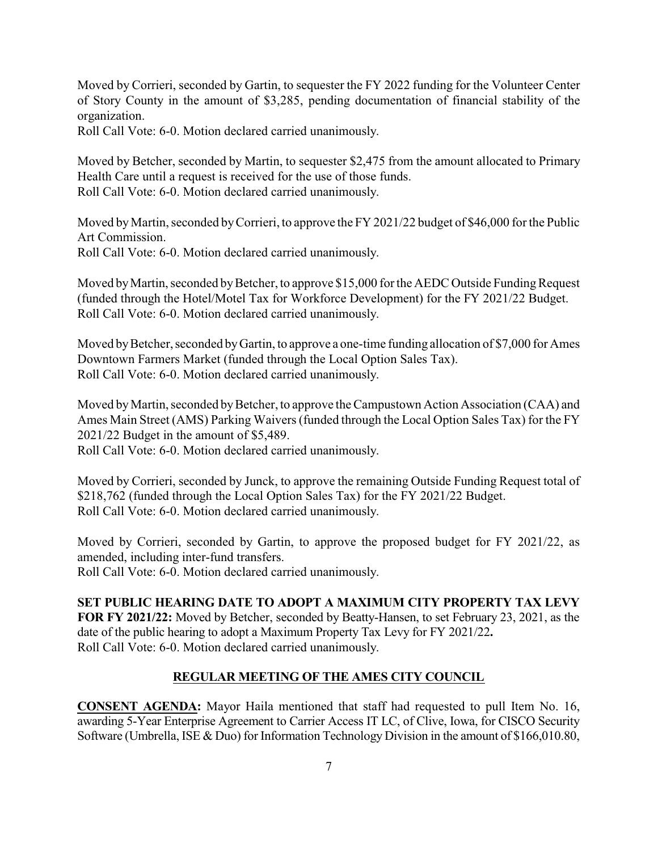Moved by Corrieri, seconded by Gartin, to sequester the FY 2022 funding for the Volunteer Center of Story County in the amount of \$3,285, pending documentation of financial stability of the organization.

Roll Call Vote: 6-0. Motion declared carried unanimously.

Moved by Betcher, seconded by Martin, to sequester \$2,475 from the amount allocated to Primary Health Care until a request is received for the use of those funds. Roll Call Vote: 6-0. Motion declared carried unanimously.

Moved by Martin, seconded by Corrieri, to approve the FY 2021/22 budget of \$46,000 for the Public Art Commission.

Roll Call Vote: 6-0. Motion declared carried unanimously.

Moved by Martin, seconded by Betcher, to approve \$15,000 for the AEDC Outside Funding Request (funded through the Hotel/Motel Tax for Workforce Development) for the FY 2021/22 Budget. Roll Call Vote: 6-0. Motion declared carried unanimously.

Moved by Betcher, seconded by Gartin, to approve a one-time funding allocation of \$7,000 for Ames Downtown Farmers Market (funded through the Local Option Sales Tax). Roll Call Vote: 6-0. Motion declared carried unanimously.

Moved by Martin, seconded by Betcher, to approve the Campustown Action Association (CAA) and Ames Main Street (AMS) Parking Waivers (funded through the Local Option Sales Tax) for the FY 2021/22 Budget in the amount of \$5,489.

Roll Call Vote: 6-0. Motion declared carried unanimously.

Moved by Corrieri, seconded by Junck, to approve the remaining Outside Funding Request total of \$218,762 (funded through the Local Option Sales Tax) for the FY 2021/22 Budget. Roll Call Vote: 6-0. Motion declared carried unanimously.

Moved by Corrieri, seconded by Gartin, to approve the proposed budget for FY 2021/22, as amended, including inter-fund transfers.

Roll Call Vote: 6-0. Motion declared carried unanimously.

# **SET PUBLIC HEARING DATE TO ADOPT A MAXIMUM CITY PROPERTY TAX LEVY**

**FOR FY 2021/22:** Moved by Betcher, seconded by Beatty-Hansen, to set February 23, 2021, as the date of the public hearing to adopt a Maximum Property Tax Levy for FY 2021/22**.** Roll Call Vote: 6-0. Motion declared carried unanimously.

# **REGULAR MEETING OF THE AMES CITY COUNCIL**

**CONSENT AGENDA:** Mayor Haila mentioned that staff had requested to pull Item No. 16, awarding 5-Year Enterprise Agreement to Carrier Access IT LC, of Clive, Iowa, for CISCO Security Software (Umbrella, ISE & Duo) for Information Technology Division in the amount of \$166,010.80,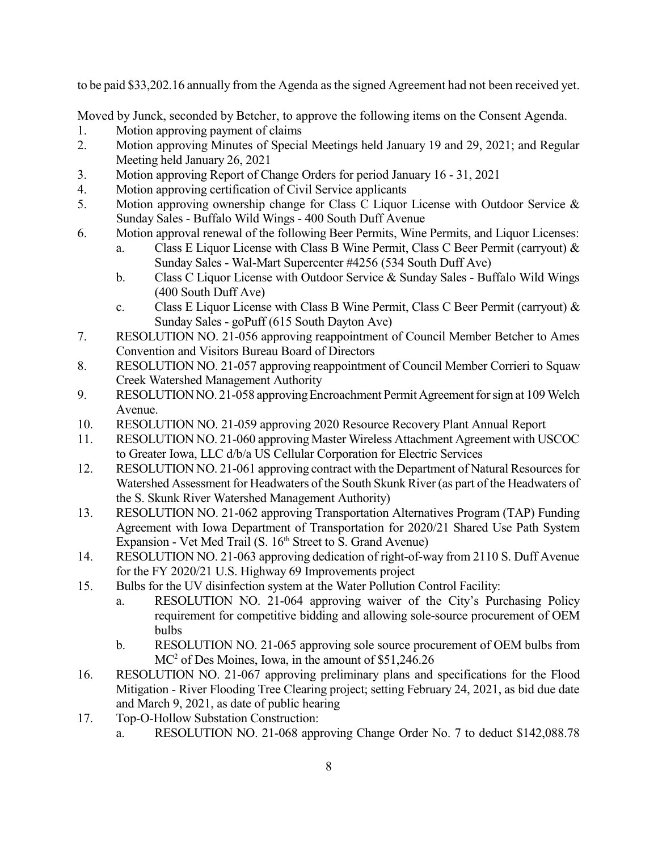to be paid \$33,202.16 annually from the Agenda as the signed Agreement had not been received yet.

Moved by Junck, seconded by Betcher, to approve the following items on the Consent Agenda.

- 1. Motion approving payment of claims
- 2. Motion approving Minutes of Special Meetings held January 19 and 29, 2021; and Regular Meeting held January 26, 2021
- 3. Motion approving Report of Change Orders for period January 16 31, 2021
- 4. Motion approving certification of Civil Service applicants
- 5. Motion approving ownership change for Class C Liquor License with Outdoor Service & Sunday Sales - Buffalo Wild Wings - 400 South Duff Avenue
- 6. Motion approval renewal of the following Beer Permits, Wine Permits, and Liquor Licenses:
	- a. Class E Liquor License with Class B Wine Permit, Class C Beer Permit (carryout) & Sunday Sales - Wal-Mart Supercenter #4256 (534 South Duff Ave)
	- b. Class C Liquor License with Outdoor Service & Sunday Sales Buffalo Wild Wings (400 South Duff Ave)
	- c. Class E Liquor License with Class B Wine Permit, Class C Beer Permit (carryout)  $\&$ Sunday Sales - goPuff (615 South Dayton Ave)
- 7. RESOLUTION NO. 21-056 approving reappointment of Council Member Betcher to Ames Convention and Visitors Bureau Board of Directors
- 8. RESOLUTION NO. 21-057 approving reappointment of Council Member Corrieri to Squaw Creek Watershed Management Authority
- 9. RESOLUTION NO. 21-058 approving Encroachment Permit Agreement for sign at 109 Welch Avenue.
- 10. RESOLUTION NO. 21-059 approving 2020 Resource Recovery Plant Annual Report
- 11. RESOLUTION NO. 21-060 approving Master Wireless Attachment Agreement with USCOC to Greater Iowa, LLC d/b/a US Cellular Corporation for Electric Services
- 12. RESOLUTION NO. 21-061 approving contract with the Department of Natural Resources for Watershed Assessment for Headwaters of the South Skunk River (as part of the Headwaters of the S. Skunk River Watershed Management Authority)
- 13. RESOLUTION NO. 21-062 approving Transportation Alternatives Program (TAP) Funding Agreement with Iowa Department of Transportation for 2020/21 Shared Use Path System Expansion - Vet Med Trail (S. 16<sup>th</sup> Street to S. Grand Avenue)
- 14. RESOLUTION NO. 21-063 approving dedication of right-of-way from 2110 S. Duff Avenue for the FY 2020/21 U.S. Highway 69 Improvements project
- 15. Bulbs for the UV disinfection system at the Water Pollution Control Facility:
	- a. RESOLUTION NO. 21-064 approving waiver of the City's Purchasing Policy requirement for competitive bidding and allowing sole-source procurement of OEM bulbs
	- b. RESOLUTION NO. 21-065 approving sole source procurement of OEM bulbs from MC 2 of Des Moines, Iowa, in the amount of \$51,246.26
- 16. RESOLUTION NO. 21-067 approving preliminary plans and specifications for the Flood Mitigation - River Flooding Tree Clearing project; setting February 24, 2021, as bid due date and March 9, 2021, as date of public hearing
- 17. Top-O-Hollow Substation Construction:
	- a. RESOLUTION NO. 21-068 approving Change Order No. 7 to deduct \$142,088.78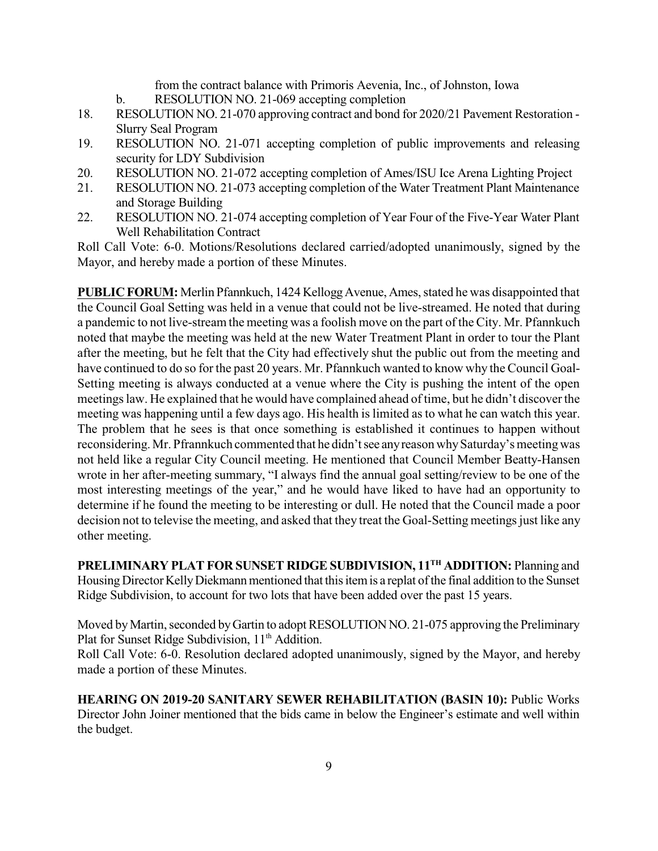from the contract balance with Primoris Aevenia, Inc., of Johnston, Iowa

- b. RESOLUTION NO. 21-069 accepting completion
- 18. RESOLUTION NO. 21-070 approving contract and bond for 2020/21 Pavement Restoration Slurry Seal Program
- 19. RESOLUTION NO. 21-071 accepting completion of public improvements and releasing security for LDY Subdivision
- 20. RESOLUTION NO. 21-072 accepting completion of Ames/ISU Ice Arena Lighting Project
- 21. RESOLUTION NO. 21-073 accepting completion of the Water Treatment Plant Maintenance and Storage Building
- 22. RESOLUTION NO. 21-074 accepting completion of Year Four of the Five-Year Water Plant Well Rehabilitation Contract

Roll Call Vote: 6-0. Motions/Resolutions declared carried/adopted unanimously, signed by the Mayor, and hereby made a portion of these Minutes.

**PUBLIC FORUM:** Merlin Pfannkuch, 1424 Kellogg Avenue, Ames, stated he was disappointed that the Council Goal Setting was held in a venue that could not be live-streamed. He noted that during a pandemic to not live-stream the meeting was a foolish move on the part of the City. Mr. Pfannkuch noted that maybe the meeting was held at the new Water Treatment Plant in order to tour the Plant after the meeting, but he felt that the City had effectively shut the public out from the meeting and have continued to do so for the past 20 years. Mr. Pfannkuch wanted to know why the Council Goal-Setting meeting is always conducted at a venue where the City is pushing the intent of the open meetings law. He explained that he would have complained ahead of time, but he didn't discover the meeting was happening until a few days ago. His health is limited as to what he can watch this year. The problem that he sees is that once something is established it continues to happen without reconsidering. Mr. Pfrannkuch commented that he didn't see any reason why Saturday's meeting was not held like a regular City Council meeting. He mentioned that Council Member Beatty-Hansen wrote in her after-meeting summary, "I always find the annual goal setting/review to be one of the most interesting meetings of the year," and he would have liked to have had an opportunity to determine if he found the meeting to be interesting or dull. He noted that the Council made a poor decision not to televise the meeting, and asked that they treat the Goal-Setting meetings just like any other meeting.

**PRELIMINARY PLAT FOR SUNSET RIDGESUBDIVISION, 11 TH ADDITION:** Planning and Housing Director Kelly Diekmann mentioned that this item is a replat of the final addition to the Sunset Ridge Subdivision, to account for two lots that have been added over the past 15 years.

Moved by Martin, seconded by Gartin to adopt RESOLUTION NO. 21-075 approving the Preliminary Plat for Sunset Ridge Subdivision, 11<sup>th</sup> Addition.

Roll Call Vote: 6-0. Resolution declared adopted unanimously, signed by the Mayor, and hereby made a portion of these Minutes.

**HEARING ON 2019-20 SANITARY SEWER REHABILITATION (BASIN 10):** Public Works Director John Joiner mentioned that the bids came in below the Engineer's estimate and well within the budget.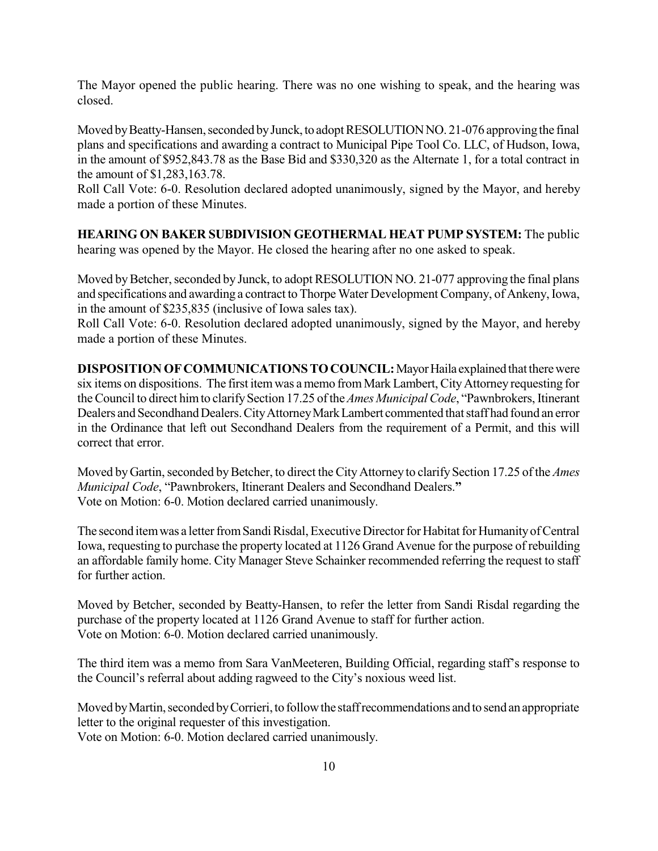The Mayor opened the public hearing. There was no one wishing to speak, and the hearing was closed.

Moved by Beatty-Hansen, seconded by Junck, to adopt RESOLUTION NO. 21-076 approving the final plans and specifications and awarding a contract to Municipal Pipe Tool Co. LLC, of Hudson, Iowa, in the amount of \$952,843.78 as the Base Bid and \$330,320 as the Alternate 1, for a total contract in the amount of \$1,283,163.78.

Roll Call Vote: 6-0. Resolution declared adopted unanimously, signed by the Mayor, and hereby made a portion of these Minutes.

**HEARING ON BAKER SUBDIVISION GEOTHERMAL HEAT PUMP SYSTEM:** The public hearing was opened by the Mayor. He closed the hearing after no one asked to speak.

Moved by Betcher, seconded by Junck, to adopt RESOLUTION NO. 21-077 approving the final plans and specifications and awarding a contract to Thorpe Water Development Company, of Ankeny, Iowa, in the amount of \$235,835 (inclusive of Iowa sales tax).

Roll Call Vote: 6-0. Resolution declared adopted unanimously, signed by the Mayor, and hereby made a portion of these Minutes.

**DISPOSITION OF COMMUNICATIONS TO COUNCIL:** Mayor Haila explained that there were six items on dispositions. The first itemwas a memo from Mark Lambert, CityAttorney requesting for the Council to direct him to clarify Section 17.25 of the *Ames Municipal Code*, "Pawnbrokers, Itinerant Dealers and Secondhand Dealers. City Attorney Mark Lambert commented that staff had found an error in the Ordinance that left out Secondhand Dealers from the requirement of a Permit, and this will correct that error.

Moved by Gartin, seconded by Betcher, to direct the City Attorney to clarify Section 17.25 of the *Ames Municipal Code*, "Pawnbrokers, Itinerant Dealers and Secondhand Dealers.**"** Vote on Motion: 6-0. Motion declared carried unanimously.

The second item was a letter from Sandi Risdal, Executive Director for Habitat for Humanity of Central Iowa, requesting to purchase the property located at 1126 Grand Avenue for the purpose of rebuilding an affordable family home. City Manager Steve Schainker recommended referring the request to staff for further action.

Moved by Betcher, seconded by Beatty-Hansen, to refer the letter from Sandi Risdal regarding the purchase of the property located at 1126 Grand Avenue to staff for further action. Vote on Motion: 6-0. Motion declared carried unanimously.

The third item was a memo from Sara VanMeeteren, Building Official, regarding staff's response to the Council's referral about adding ragweed to the City's noxious weed list.

Moved by Martin, seconded by Corrieri, to follow the staff recommendations and to send an appropriate letter to the original requester of this investigation. Vote on Motion: 6-0. Motion declared carried unanimously.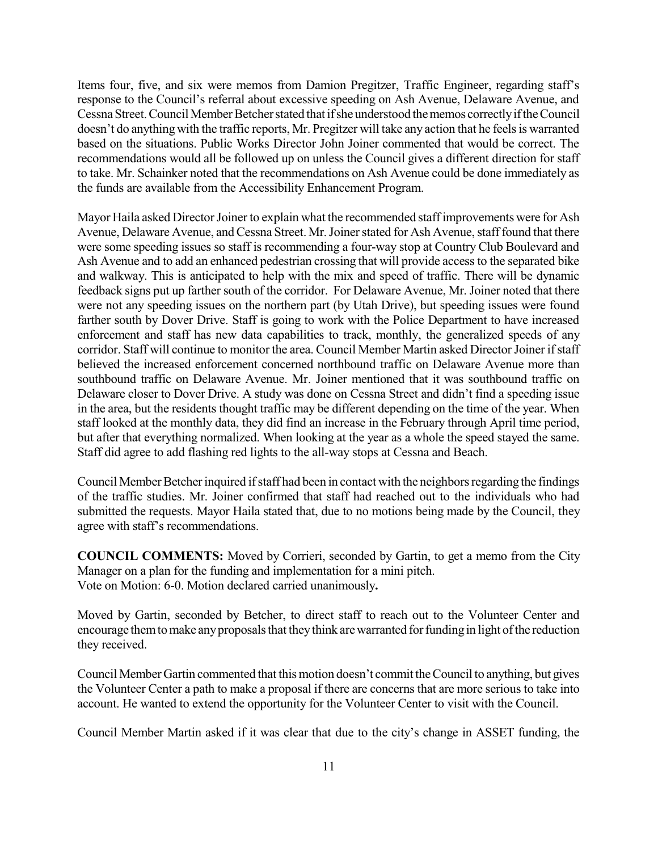Items four, five, and six were memos from Damion Pregitzer, Traffic Engineer, regarding staff's response to the Council's referral about excessive speeding on Ash Avenue, Delaware Avenue, and Cessna Street. Council Member Betcher stated that if she understood the memos correctly if the Council doesn't do anything with the traffic reports, Mr. Pregitzer will take any action that he feels is warranted based on the situations. Public Works Director John Joiner commented that would be correct. The recommendations would all be followed up on unless the Council gives a different direction for staff to take. Mr. Schainker noted that the recommendations on Ash Avenue could be done immediately as the funds are available from the Accessibility Enhancement Program.

Mayor Haila asked Director Joiner to explain what the recommended staff improvements were for Ash Avenue, Delaware Avenue, and Cessna Street. Mr. Joiner stated for Ash Avenue, staff found that there were some speeding issues so staff is recommending a four-way stop at Country Club Boulevard and Ash Avenue and to add an enhanced pedestrian crossing that will provide access to the separated bike and walkway. This is anticipated to help with the mix and speed of traffic. There will be dynamic feedback signs put up farther south of the corridor. For Delaware Avenue, Mr. Joiner noted that there were not any speeding issues on the northern part (by Utah Drive), but speeding issues were found farther south by Dover Drive. Staff is going to work with the Police Department to have increased enforcement and staff has new data capabilities to track, monthly, the generalized speeds of any corridor. Staff will continue to monitor the area. Council Member Martin asked Director Joiner if staff believed the increased enforcement concerned northbound traffic on Delaware Avenue more than southbound traffic on Delaware Avenue. Mr. Joiner mentioned that it was southbound traffic on Delaware closer to Dover Drive. A study was done on Cessna Street and didn't find a speeding issue in the area, but the residents thought traffic may be different depending on the time of the year. When staff looked at the monthly data, they did find an increase in the February through April time period, but after that everything normalized. When looking at the year as a whole the speed stayed the same. Staff did agree to add flashing red lights to the all-way stops at Cessna and Beach.

Council Member Betcher inquired if staff had been in contact with the neighbors regarding the findings of the traffic studies. Mr. Joiner confirmed that staff had reached out to the individuals who had submitted the requests. Mayor Haila stated that, due to no motions being made by the Council, they agree with staff's recommendations.

**COUNCIL COMMENTS:** Moved by Corrieri, seconded by Gartin, to get a memo from the City Manager on a plan for the funding and implementation for a mini pitch. Vote on Motion: 6-0. Motion declared carried unanimously**.**

Moved by Gartin, seconded by Betcher, to direct staff to reach out to the Volunteer Center and encourage them to make any proposals that they think are warranted for funding in light of the reduction they received.

Council Member Gartin commented that this motion doesn't commit the Council to anything, but gives the Volunteer Center a path to make a proposal if there are concerns that are more serious to take into account. He wanted to extend the opportunity for the Volunteer Center to visit with the Council.

Council Member Martin asked if it was clear that due to the city's change in ASSET funding, the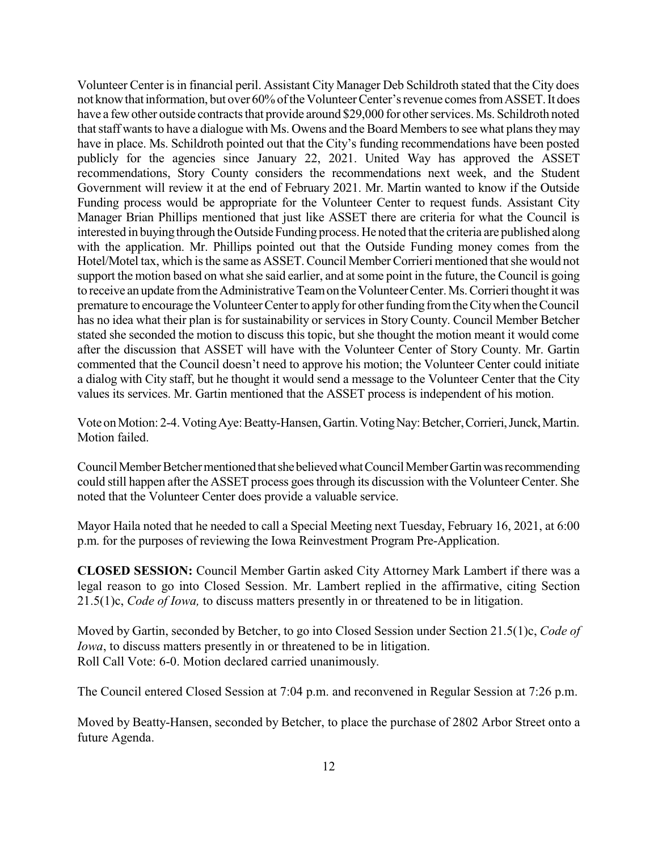Volunteer Center isin financial peril. Assistant City Manager Deb Schildroth stated that the City does not know that information, but over 60% of the Volunteer Center's revenue comes from ASSET. It does have a few other outside contracts that provide around \$29,000 for other services. Ms. Schildroth noted that staff wants to have a dialogue with Ms. Owens and the Board Members to see what plans they may have in place. Ms. Schildroth pointed out that the City's funding recommendations have been posted publicly for the agencies since January 22, 2021. United Way has approved the ASSET recommendations, Story County considers the recommendations next week, and the Student Government will review it at the end of February 2021. Mr. Martin wanted to know if the Outside Funding process would be appropriate for the Volunteer Center to request funds. Assistant City Manager Brian Phillips mentioned that just like ASSET there are criteria for what the Council is interested in buying through the Outside Funding process. He noted that the criteria are published along with the application. Mr. Phillips pointed out that the Outside Funding money comes from the Hotel/Motel tax, which is the same as ASSET. Council Member Corrieri mentioned that she would not support the motion based on what she said earlier, and at some point in the future, the Council is going to receive an update from the Administrative Team on the Volunteer Center. Ms. Corrieri thought it was premature to encourage the Volunteer Center to apply for other funding from the City when the Council has no idea what their plan is for sustainability or services in Story County. Council Member Betcher stated she seconded the motion to discuss this topic, but she thought the motion meant it would come after the discussion that ASSET will have with the Volunteer Center of Story County. Mr. Gartin commented that the Council doesn't need to approve his motion; the Volunteer Center could initiate a dialog with City staff, but he thought it would send a message to the Volunteer Center that the City values its services. Mr. Gartin mentioned that the ASSET process is independent of his motion.

Vote on Motion: 2-4. Voting Aye: Beatty-Hansen, Gartin. Voting Nay: Betcher, Corrieri, Junck, Martin. Motion failed.

Council Member Betcher mentioned that she believed what Council Member Gartin was recommending could still happen after the ASSET process goes through its discussion with the Volunteer Center. She noted that the Volunteer Center does provide a valuable service.

Mayor Haila noted that he needed to call a Special Meeting next Tuesday, February 16, 2021, at 6:00 p.m. for the purposes of reviewing the Iowa Reinvestment Program Pre-Application.

**CLOSED SESSION:** Council Member Gartin asked City Attorney Mark Lambert if there was a legal reason to go into Closed Session. Mr. Lambert replied in the affirmative, citing Section 21.5(1)c, *Code of Iowa,* to discuss matters presently in or threatened to be in litigation.

Moved by Gartin, seconded by Betcher, to go into Closed Session under Section 21.5(1)c, *Code of Iowa*, to discuss matters presently in or threatened to be in litigation. Roll Call Vote: 6-0. Motion declared carried unanimously.

The Council entered Closed Session at 7:04 p.m. and reconvened in Regular Session at 7:26 p.m.

Moved by Beatty-Hansen, seconded by Betcher, to place the purchase of 2802 Arbor Street onto a future Agenda.